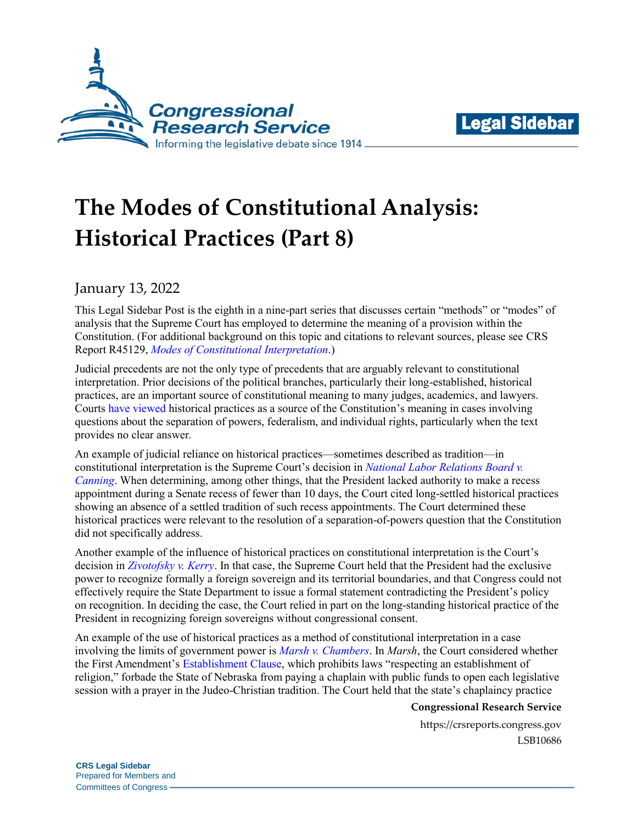



# **The Modes of Constitutional Analysis: Historical Practices (Part 8)**

## January 13, 2022

This Legal Sidebar Post is the eighth in a nine-part series that discusses certain "methods" or "modes" of analysis that the Supreme Court has employed to determine the meaning of a provision within the Constitution. (For additional background on this topic and citations to relevant sources, please see CRS Report R45129, *[Modes of Constitutional Interpretation](https://crsreports.congress.gov/product/pdf/R/R45129)*.)

Judicial precedents are not the only type of precedents that are arguably relevant to constitutional interpretation. Prior decisions of the political branches, particularly their long-established, historical practices, are an important source of constitutional meaning to many judges, academics, and lawyers. Courts [have](https://supreme.justia.com/cases/federal/us/17/316/) [viewed](https://www.leagle.com/decision/infco20161011107) historical practices as a source of the Constitution's meaning in cases involving questions about the separation of powers, federalism, and individual rights, particularly when the text provides no clear answer.

An example of judicial reliance on historical practices—sometimes described as tradition—in constitutional interpretation is the Supreme Court's decision in *[National Labor Relations Board v.](https://supreme.justia.com/cases/federal/us/573/513/)  [Canning](https://supreme.justia.com/cases/federal/us/573/513/)*. When determining, among other things, that the President lacked authority to make a recess appointment during a Senate recess of fewer than 10 days, the Court cited long-settled historical practices showing an absence of a settled tradition of such recess appointments. The Court determined these historical practices were relevant to the resolution of a separation-of-powers question that the Constitution did not specifically address.

Another example of the influence of historical practices on constitutional interpretation is the Court's decision in *[Zivotofsky v. Kerry](https://supreme.justia.com/cases/federal/us/576/13-628/)*. In that case, the Supreme Court held that the President had the exclusive power to recognize formally a foreign sovereign and its territorial boundaries, and that Congress could not effectively require the State Department to issue a formal statement contradicting the President's policy on recognition. In deciding the case, the Court relied in part on the long-standing historical practice of the President in recognizing foreign sovereigns without congressional consent.

An example of the use of historical practices as a method of constitutional interpretation in a case involving the limits of government power is *[Marsh v. Chambers](https://supreme.justia.com/cases/federal/us/463/783/)*. In *Marsh*, the Court considered whether the First Amendment's [Establishment Clause,](https://constitution.congress.gov/browse/essay/amdt1-1-1/ALDE_00000390/) which prohibits laws "respecting an establishment of religion," forbade the State of Nebraska from paying a chaplain with public funds to open each legislative session with a prayer in the Judeo-Christian tradition. The Court held that the state's chaplaincy practice

#### **Congressional Research Service**

https://crsreports.congress.gov LSB10686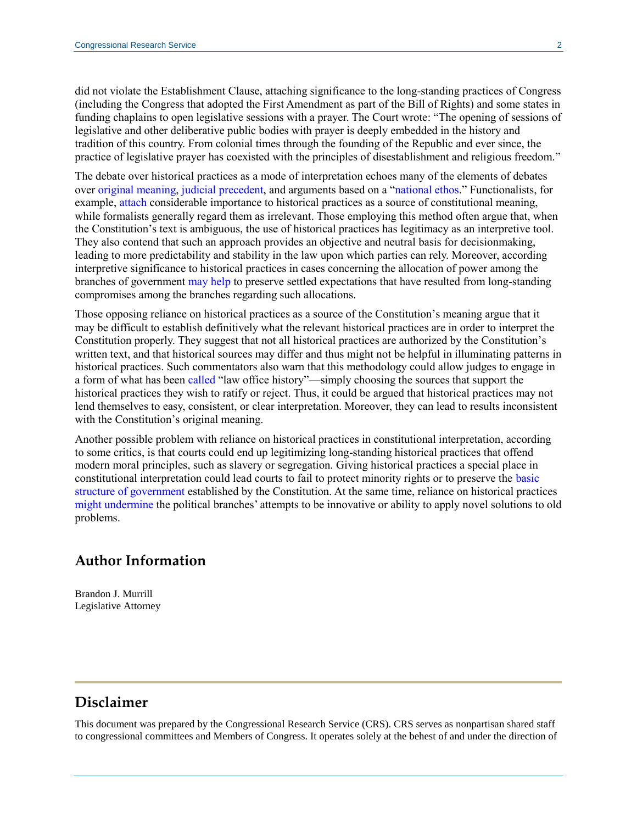did not violate the Establishment Clause, attaching significance to the long-standing practices of Congress (including the Congress that adopted the First Amendment as part of the Bill of Rights) and some states in funding chaplains to open legislative sessions with a prayer. The Court wrote: "The opening of sessions of legislative and other deliberative public bodies with prayer is deeply embedded in the history and tradition of this country. From colonial times through the founding of the Republic and ever since, the practice of legislative prayer has coexisted with the principles of disestablishment and religious freedom."

The debate over historical practices as a mode of interpretation echoes many of the elements of debates over [original meaning,](https://crsreports.congress.gov/product/pdf/LSB/LSB10677) [judicial precedent,](https://crsreports.congress.gov/product/pdf/LSB/LSB10678) and arguments based on a ["national ethos.](https://crsreports.congress.gov/product/pdf/LSB/LSB10684)" Functionalists, for example, [attach](https://wlr.law.wisc.edu/wp-content/uploads/sites/1263/2013/11/2-Turley.pdf#page=5) considerable importance to historical practices as a source of constitutional meaning, while formalists generally regard them as irrelevant. Those employing this method often argue that, when the Constitution's text is ambiguous, the use of historical practices has legitimacy as an interpretive tool. They also contend that such an approach provides an objective and neutral basis for decisionmaking, leading to more predictability and stability in the law upon which parties can rely. Moreover, according interpretive significance to historical practices in cases concerning the allocation of power among the branches of government [may help](https://scholarship.law.duke.edu/cgi/viewcontent.cgi?article=6117&context=faculty_scholarship#page=33) to preserve settled expectations that have resulted from long-standing compromises among the branches regarding such allocations.

Those opposing reliance on historical practices as a source of the Constitution's meaning argue that it may be difficult to establish definitively what the relevant historical practices are in order to interpret the Constitution properly. They suggest that not all historical practices are authorized by the Constitution's written text, and that historical sources may differ and thus might not be helpful in illuminating patterns in historical practices. Such commentators also warn that this methodology could allow judges to engage in a form of what has been [called](https://www.jstor.org/stable/3108786?seq=1#metadata_info_tab_contents) "law office history"—simply choosing the sources that support the historical practices they wish to ratify or reject. Thus, it could be argued that historical practices may not lend themselves to easy, consistent, or clear interpretation. Moreover, they can lead to results inconsistent with the Constitution's original meaning.

Another possible problem with reliance on historical practices in constitutional interpretation, according to some critics, is that courts could end up legitimizing long-standing historical practices that offend modern moral principles, such as slavery or segregation. Giving historical practices a special place in constitutional interpretation could lead courts to fail to protect minority rights or to preserve the [basic](https://www.law.cornell.edu/supremecourt/text/12-1281#writing-12-1281_CONCUR_4)  [structure of government](https://www.law.cornell.edu/supremecourt/text/12-1281#writing-12-1281_CONCUR_4) established by the Constitution. At the same time, reliance on historical practices [might undermine](https://harvardlawreview.org/wp-content/uploads/pdfs/vol124_manning.pdf#page=5) the political branches' attempts to be innovative or ability to apply novel solutions to old problems.

### **Author Information**

Brandon J. Murrill Legislative Attorney

## **Disclaimer**

This document was prepared by the Congressional Research Service (CRS). CRS serves as nonpartisan shared staff to congressional committees and Members of Congress. It operates solely at the behest of and under the direction of